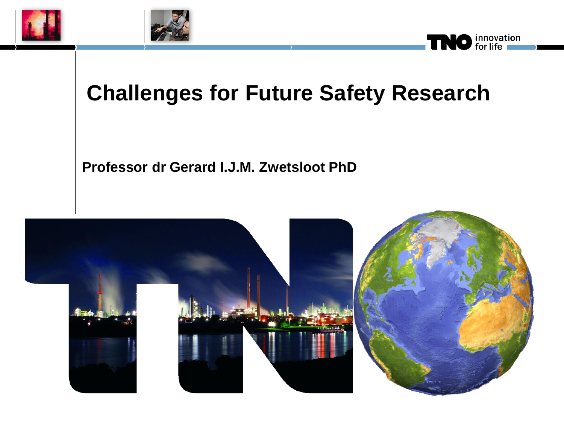





### **Challenges for Future Safety Research**

**Professor dr Gerard I.J.M. Zwetsloot PhD**

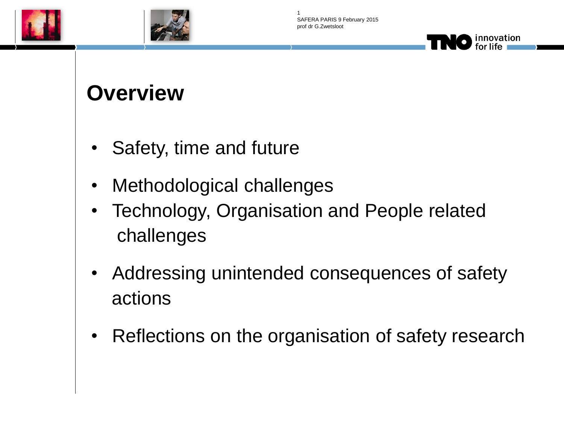





#### **Overview**

- Safety, time and future
- Methodological challenges
- Technology, Organisation and People related challenges
- Addressing unintended consequences of safety actions
- Reflections on the organisation of safety research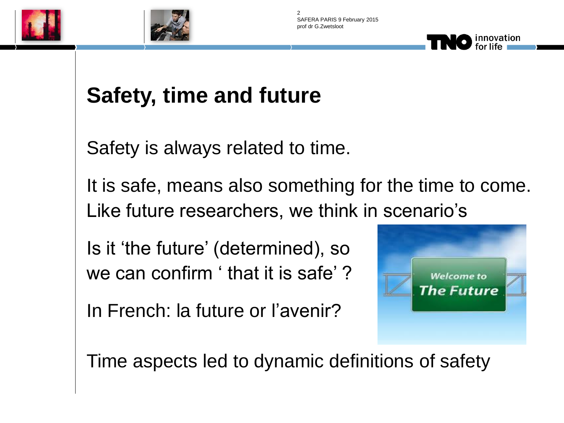





Safety is always related to time.

It is safe, means also something for the time to come. Like future researchers, we think in scenario's

Is it 'the future' (determined), so we can confirm ' that it is safe' ?

In French: la future or l'avenir?



innovation

Time aspects led to dynamic definitions of safety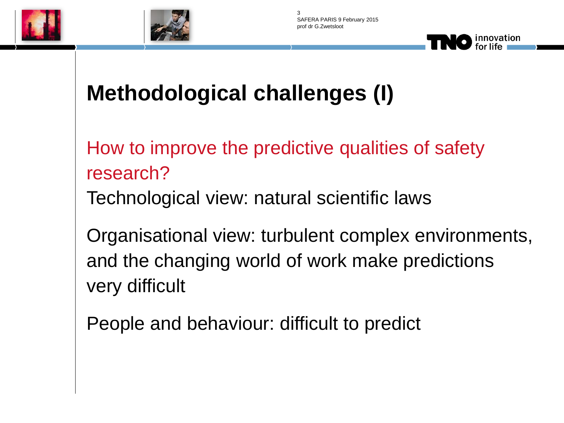





How to improve the predictive qualities of safety research?

Technological view: natural scientific laws

Organisational view: turbulent complex environments, and the changing world of work make predictions very difficult

People and behaviour: difficult to predict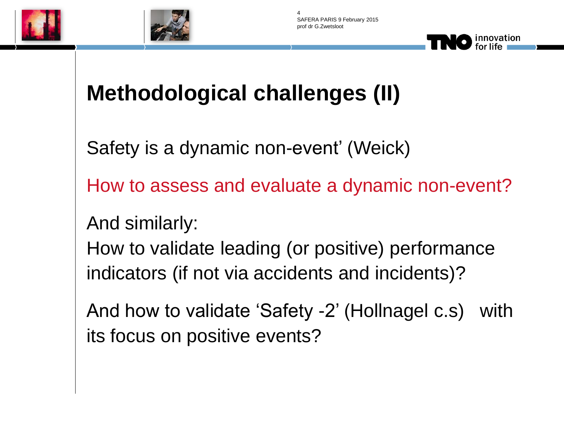





### **Methodological challenges (II)**

Safety is a dynamic non-event' (Weick)

How to assess and evaluate a dynamic non-event?

And similarly:

How to validate leading (or positive) performance indicators (if not via accidents and incidents)?

And how to validate 'Safety -2' (Hollnagel c.s) with its focus on positive events?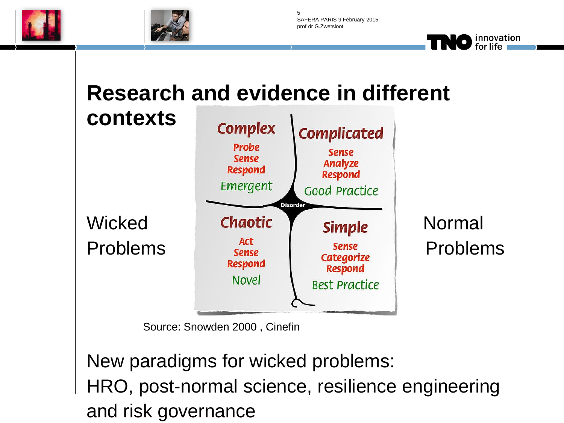



SAFERA PARIS 9 February 2015 prof dr G.Zwetsloot 5

> innovation for life

# **Research and evidence in different**



Source: Snowden 2000 , Cinefin

New paradigms for wicked problems: HRO, post-normal science, resilience engineering and risk governance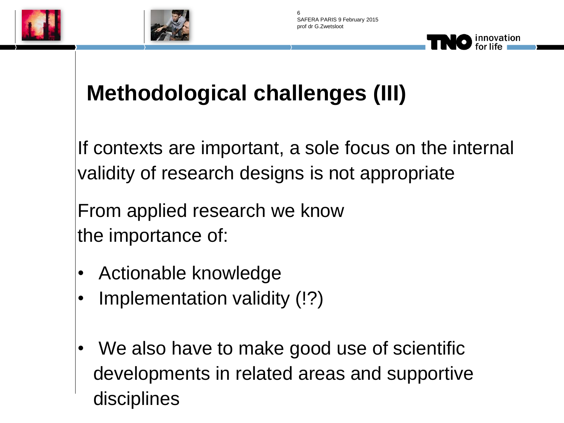



# **Methodological challenges (III)**

If contexts are important, a sole focus on the internal validity of research designs is not appropriate

From applied research we know the importance of:

- Actionable knowledge
- Implementation validity (!?)
- We also have to make good use of scientific developments in related areas and supportive disciplines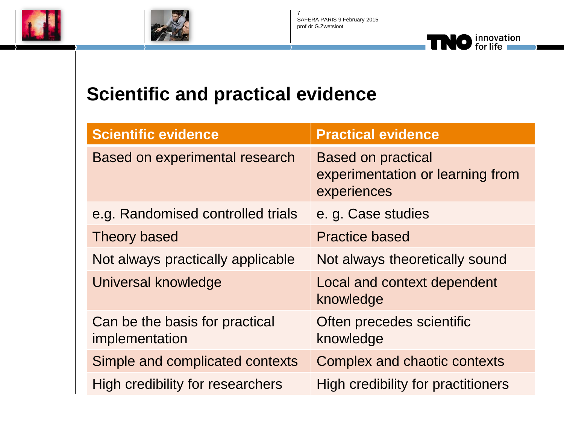





#### **Scientific and practical evidence**

| <b>Scientific evidence</b>                       | <b>Practical evidence</b>                                                    |
|--------------------------------------------------|------------------------------------------------------------------------------|
| Based on experimental research                   | <b>Based on practical</b><br>experimentation or learning from<br>experiences |
| e.g. Randomised controlled trials                | e. g. Case studies                                                           |
| <b>Theory based</b>                              | <b>Practice based</b>                                                        |
| Not always practically applicable                | Not always theoretically sound                                               |
| Universal knowledge                              | Local and context dependent<br>knowledge                                     |
| Can be the basis for practical<br>implementation | Often precedes scientific<br>knowledge                                       |
| Simple and complicated contexts                  | <b>Complex and chaotic contexts</b>                                          |
| High credibility for researchers                 | High credibility for practitioners                                           |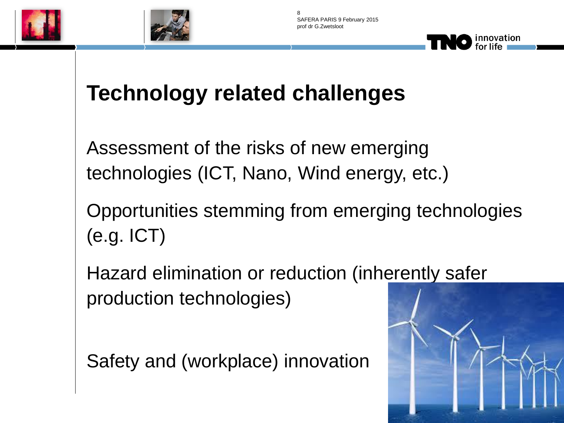



### **Technology related challenges**

Assessment of the risks of new emerging technologies (ICT, Nano, Wind energy, etc.)

Opportunities stemming from emerging technologies (e.g. ICT)

Hazard elimination or reduction (inherently safer production technologies)

Safety and (workplace) innovation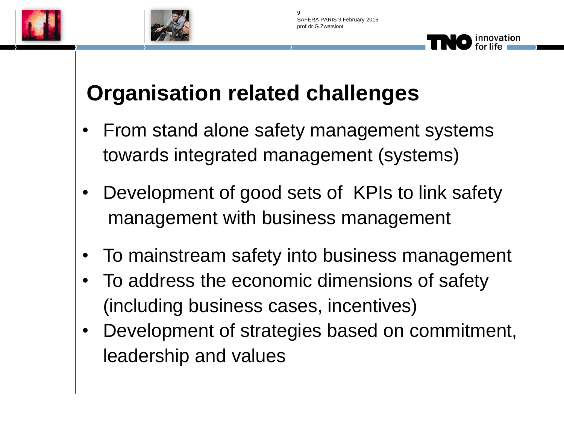



# **Organisation related challenges**

- From stand alone safety management systems towards integrated management (systems)
- Development of good sets of KPIs to link safety management with business management
- To mainstream safety into business management
- To address the economic dimensions of safety (including business cases, incentives)
- Development of strategies based on commitment, leadership and values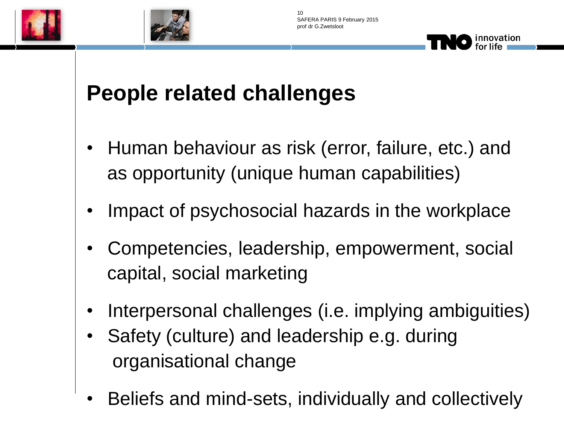



### **People related challenges**

- Human behaviour as risk (error, failure, etc.) and as opportunity (unique human capabilities)
- Impact of psychosocial hazards in the workplace
- Competencies, leadership, empowerment, social capital, social marketing
- Interpersonal challenges (i.e. implying ambiguities)
- Safety (culture) and leadership e.g. during organisational change
- Beliefs and mind-sets, individually and collectively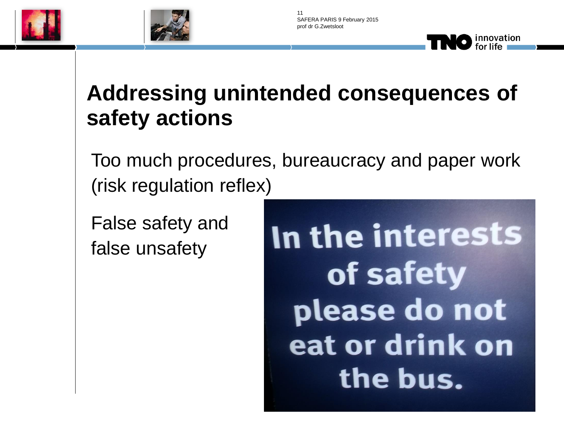



### **Addressing unintended consequences of safety actions**

Too much procedures, bureaucracy and paper work (risk regulation reflex)

False safety and false unsafety

In the interests of safety please do not eat or drink on the bus.

innovation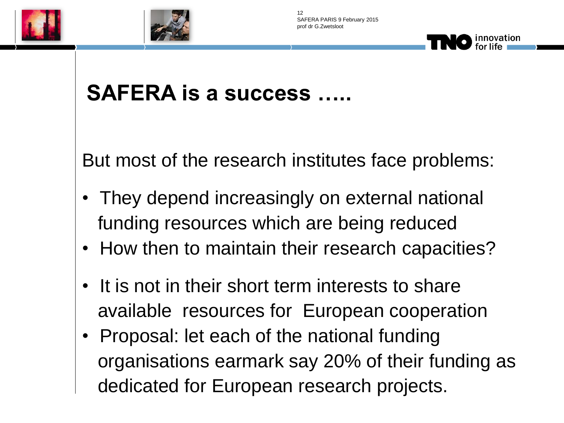





# **SAFERA is a success …..**

But most of the research institutes face problems:

- They depend increasingly on external national funding resources which are being reduced
- How then to maintain their research capacities?
- It is not in their short term interests to share available resources for European cooperation
- Proposal: let each of the national funding organisations earmark say 20% of their funding as dedicated for European research projects.